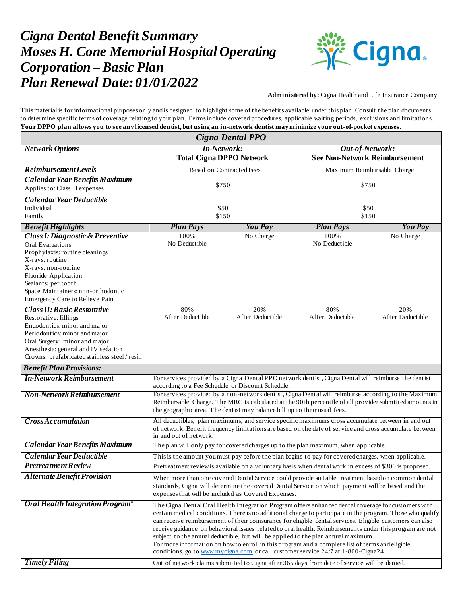## *Cigna Dental Benefit Summary Moses H. Cone Memorial Hospital Operating Corporation – Basic Plan Plan Renewal Date:01/01/2022*



**Administered by:** Cigna Health and Life Insurance Company

This material is for informational purposes only and is designed to highlight some of the benefits available under this plan. Consult the plan documents to determine specific terms of coverage relating to your plan. Terms include covered procedures, applicable waiting periods, exclusions and limitations. **Your DPPO plan allows you to see any licensed dentist, but using an in-network dentist may minimize your out-of-pocket expenses.**

| Cigna Dental PPO                                                                                                                                                                                                                                                   |                                                                                                                                                                                                                                                                                                                                                                                                                                                                                                                                                                                                                                                                                                                                                                                                                       |                         |                                                         |                         |  |
|--------------------------------------------------------------------------------------------------------------------------------------------------------------------------------------------------------------------------------------------------------------------|-----------------------------------------------------------------------------------------------------------------------------------------------------------------------------------------------------------------------------------------------------------------------------------------------------------------------------------------------------------------------------------------------------------------------------------------------------------------------------------------------------------------------------------------------------------------------------------------------------------------------------------------------------------------------------------------------------------------------------------------------------------------------------------------------------------------------|-------------------------|---------------------------------------------------------|-------------------------|--|
| <b>Network Options</b>                                                                                                                                                                                                                                             | <b>In-Network:</b><br><b>Total Cigna DPPO Network</b>                                                                                                                                                                                                                                                                                                                                                                                                                                                                                                                                                                                                                                                                                                                                                                 |                         | Out-of-Network:<br><b>See Non-Network Reimbursement</b> |                         |  |
| <b>Reimbursement Levels</b>                                                                                                                                                                                                                                        | Based on Contracted Fees                                                                                                                                                                                                                                                                                                                                                                                                                                                                                                                                                                                                                                                                                                                                                                                              |                         | Maximum Reimbursable Charge                             |                         |  |
| <b>Calendar Year Benefits Maximum</b><br>Applies to: Class II expenses                                                                                                                                                                                             | \$750                                                                                                                                                                                                                                                                                                                                                                                                                                                                                                                                                                                                                                                                                                                                                                                                                 |                         | \$750                                                   |                         |  |
| <b>Calendar Year Deductible</b><br>Individual<br>Family                                                                                                                                                                                                            | \$50<br>\$150                                                                                                                                                                                                                                                                                                                                                                                                                                                                                                                                                                                                                                                                                                                                                                                                         |                         | \$50<br>\$150                                           |                         |  |
| <b>Benefit Highlights</b>                                                                                                                                                                                                                                          | <b>Plan Pays</b>                                                                                                                                                                                                                                                                                                                                                                                                                                                                                                                                                                                                                                                                                                                                                                                                      | <b>You Pay</b>          | <b>Plan Pays</b>                                        | <b>You Pay</b>          |  |
| <b>Class I: Diagnostic &amp; Preventive</b><br>Oral Evaluations<br>Prophylaxis: routine cleanings<br>X-rays: routine<br>X-rays: non-routine<br>Fluoride Application<br>Sealants: per tooth<br>Space Maintainers: non-orthodontic<br>Emergency Care to Relieve Pain | 100%<br>No Deductible                                                                                                                                                                                                                                                                                                                                                                                                                                                                                                                                                                                                                                                                                                                                                                                                 | No Charge               | 100%<br>No Deductible                                   | No Charge               |  |
| <b>Class II: Basic Restorative</b><br>Restorative: fillings<br>Endodontics: minor and major<br>Periodontics: minor and major<br>Oral Surgery: minor and major<br>Anesthesia: general and IV sedation<br>Crowns: prefabricated stainless steel / resin              | 80%<br>After Deductible                                                                                                                                                                                                                                                                                                                                                                                                                                                                                                                                                                                                                                                                                                                                                                                               | 20%<br>After Deductible | 80%<br>After Deductible                                 | 20%<br>After Deductible |  |
| <b>Benefit Plan Provisions:</b>                                                                                                                                                                                                                                    |                                                                                                                                                                                                                                                                                                                                                                                                                                                                                                                                                                                                                                                                                                                                                                                                                       |                         |                                                         |                         |  |
| <b>In-Network Reimbursement</b>                                                                                                                                                                                                                                    | For services provided by a Cigna Dental PPO network dentist, Cigna Dental will reimburse the dentist<br>according to a Fee Schedule or Discount Schedule.                                                                                                                                                                                                                                                                                                                                                                                                                                                                                                                                                                                                                                                             |                         |                                                         |                         |  |
| <b>Non-Network Reimbursement</b>                                                                                                                                                                                                                                   | For services provided by a non-network dentist, Cigna Dental will reimburse according to the Maximum<br>Reimbursable Charge. The MRC is calculated at the 90th percentile of all provider submitted amounts in<br>the geographic area. The dentist may balance bill up to their usual fees.                                                                                                                                                                                                                                                                                                                                                                                                                                                                                                                           |                         |                                                         |                         |  |
| <b>Cross Accumulation</b>                                                                                                                                                                                                                                          | All deductibles, plan maximums, and service specific maximums cross accumulate between in and out<br>of network. Benefit frequency limitations are based on the date of service and cross accumulate between<br>in and out of network.                                                                                                                                                                                                                                                                                                                                                                                                                                                                                                                                                                                |                         |                                                         |                         |  |
| <b>Calendar Year Benefits Maximum</b>                                                                                                                                                                                                                              | The plan will only pay for covered charges up to the plan maximum, when applicable.                                                                                                                                                                                                                                                                                                                                                                                                                                                                                                                                                                                                                                                                                                                                   |                         |                                                         |                         |  |
| <b>Calendar Year Deductible</b>                                                                                                                                                                                                                                    | This is the amount you must pay before the plan begins to pay for covered charges, when applicable.                                                                                                                                                                                                                                                                                                                                                                                                                                                                                                                                                                                                                                                                                                                   |                         |                                                         |                         |  |
| <b>Pretreatment Review</b>                                                                                                                                                                                                                                         | Pretreatment review is available on a voluntary basis when dental work in excess of \$300 is proposed.                                                                                                                                                                                                                                                                                                                                                                                                                                                                                                                                                                                                                                                                                                                |                         |                                                         |                         |  |
| <b>Alternate Benefit Provision</b>                                                                                                                                                                                                                                 | When more than one covered Dental Service could provide suitable treatment based on common dental<br>standards, Cigna will determine the covered Dental Service on which payment will be based and the<br>expenses that will be included as Covered Expenses.                                                                                                                                                                                                                                                                                                                                                                                                                                                                                                                                                         |                         |                                                         |                         |  |
| Oral Health Integration Program <sup>®</sup><br><b>Timely Filing</b>                                                                                                                                                                                               | The Cigna Dental Oral Health Integration Program offers enhanced dental coverage for customers with<br>certain medical conditions. There is no additional charge to participate in the program. Those who qualify<br>can receive reimbursement of their coinsurance for eligible dental services. Eligible customers can also<br>receive guidance on behavioral issues related to oral health. Reimbursements under this program are not<br>subject to the annual deductible, but will be applied to the plan annual maximum.<br>For more information on how to enroll in this program and a complete list of terms and eligible<br>conditions, go to www.mycigna.com or call customer service 24/7 at 1-800-Cigna24.<br>Out of network claims submitted to Cigna after 365 days from date of service will be denied. |                         |                                                         |                         |  |